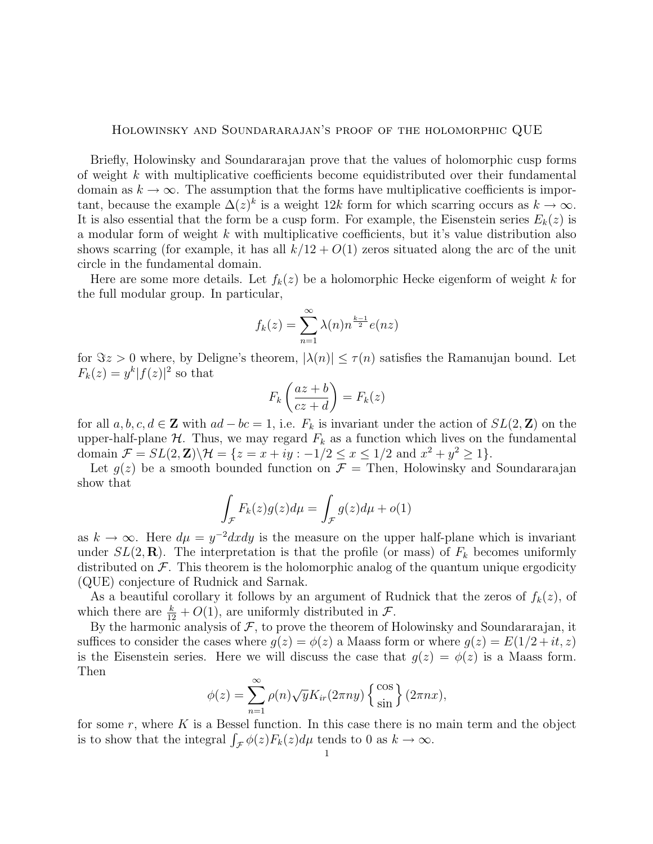## Holowinsky and Soundararajan's proof of the holomorphic QUE

Briefly, Holowinsky and Soundararajan prove that the values of holomorphic cusp forms of weight k with multiplicative coefficients become equidistributed over their fundamental domain as  $k \to \infty$ . The assumption that the forms have multiplicative coefficients is important, because the example  $\Delta(z)^k$  is a weight 12k form for which scarring occurs as  $k \to \infty$ . It is also essential that the form be a cusp form. For example, the Eisenstein series  $E_k(z)$  is a modular form of weight  $k$  with multiplicative coefficients, but it's value distribution also shows scarring (for example, it has all  $k/12 + O(1)$  zeros situated along the arc of the unit circle in the fundamental domain.

Here are some more details. Let  $f_k(z)$  be a holomorphic Hecke eigenform of weight k for the full modular group. In particular,

$$
f_k(z) = \sum_{n=1}^{\infty} \lambda(n) n^{\frac{k-1}{2}} e(nz)
$$

for  $\Im z > 0$  where, by Deligne's theorem,  $|\lambda(n)| \leq \tau(n)$  satisfies the Ramanujan bound. Let  $F_k(z) = y^k |f(z)|^2$  so that

$$
F_k\left(\frac{az+b}{cz+d}\right) = F_k(z)
$$

for all  $a, b, c, d \in \mathbb{Z}$  with  $ad - bc = 1$ , i.e.  $F_k$  is invariant under the action of  $SL(2, \mathbb{Z})$  on the upper-half-plane  $H$ . Thus, we may regard  $F_k$  as a function which lives on the fundamental domain  $\mathcal{F} = SL(2, \mathbf{Z}) \backslash \mathcal{H} = \{z = x + iy : -1/2 \leq x \leq 1/2 \text{ and } x^2 + y^2 \geq 1\}.$ 

Let  $g(z)$  be a smooth bounded function on  $\mathcal{F} =$  Then, Holowinsky and Soundararajan show that

$$
\int_{\mathcal{F}} F_k(z)g(z)d\mu = \int_{\mathcal{F}} g(z)d\mu + o(1)
$$

as  $k \to \infty$ . Here  $d\mu = y^{-2}dxdy$  is the measure on the upper half-plane which is invariant under  $SL(2,\mathbf{R})$ . The interpretation is that the profile (or mass) of  $F_k$  becomes uniformly distributed on  $\mathcal F$ . This theorem is the holomorphic analog of the quantum unique ergodicity (QUE) conjecture of Rudnick and Sarnak.

As a beautiful corollary it follows by an argument of Rudnick that the zeros of  $f_k(z)$ , of which there are  $\frac{k}{12} + O(1)$ , are uniformly distributed in  $\mathcal{F}$ .

By the harmonic analysis of  $F$ , to prove the theorem of Holowinsky and Soundararajan, it suffices to consider the cases where  $g(z) = \phi(z)$  a Maass form or where  $g(z) = E(1/2 + it, z)$ is the Eisenstein series. Here we will discuss the case that  $g(z) = \phi(z)$  is a Maass form. Then

$$
\phi(z) = \sum_{n=1}^{\infty} \rho(n) \sqrt{y} K_{ir}(2\pi ny) \left\{ \frac{\cos}{\sin} \right\} (2\pi nx),
$$

for some  $r$ , where  $K$  is a Bessel function. In this case there is no main term and the object is to show that the integral  $\int_{\mathcal{F}} \phi(z) F_k(z) d\mu$  tends to 0 as  $k \to \infty$ .